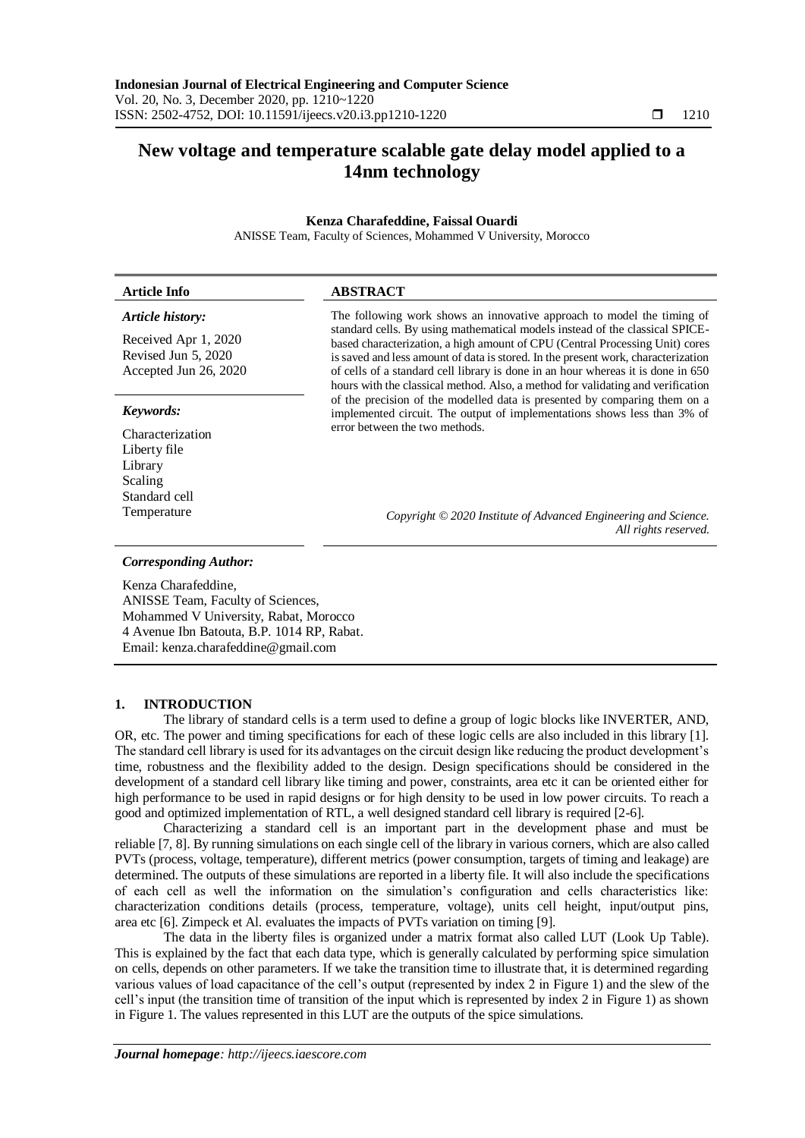# **New voltage and temperature scalable gate delay model applied to a 14nm technology**

# **Kenza Charafeddine, Faissal Ouardi**

ANISSE Team, Faculty of Sciences, Mohammed V University, Morocco

| <b>Article Info</b>                                                  | <b>ABSTRACT</b>                                                                                                                                                                                                                                                                                                                                                                                                          |
|----------------------------------------------------------------------|--------------------------------------------------------------------------------------------------------------------------------------------------------------------------------------------------------------------------------------------------------------------------------------------------------------------------------------------------------------------------------------------------------------------------|
| Article history:                                                     | The following work shows an innovative approach to model the timing of                                                                                                                                                                                                                                                                                                                                                   |
| Received Apr 1, 2020<br>Revised Jun 5, 2020<br>Accepted Jun 26, 2020 | standard cells. By using mathematical models instead of the classical SPICE-<br>based characterization, a high amount of CPU (Central Processing Unit) cores<br>is saved and less amount of data is stored. In the present work, characterization<br>of cells of a standard cell library is done in an hour whereas it is done in 650<br>hours with the classical method. Also, a method for validating and verification |
| Keywords:                                                            | of the precision of the modelled data is presented by comparing them on a<br>implemented circuit. The output of implementations shows less than 3% of                                                                                                                                                                                                                                                                    |
| Characterization                                                     | error between the two methods.                                                                                                                                                                                                                                                                                                                                                                                           |
| Liberty file                                                         |                                                                                                                                                                                                                                                                                                                                                                                                                          |
| Library                                                              |                                                                                                                                                                                                                                                                                                                                                                                                                          |
| Scaling                                                              |                                                                                                                                                                                                                                                                                                                                                                                                                          |
| Standard cell                                                        |                                                                                                                                                                                                                                                                                                                                                                                                                          |
| Temperature                                                          | Copyright © 2020 Institute of Advanced Engineering and Science.<br>All rights reserved.                                                                                                                                                                                                                                                                                                                                  |
| Corresponding Author:                                                |                                                                                                                                                                                                                                                                                                                                                                                                                          |

Kenza Charafeddine, ANISSE Team, Faculty of Sciences, Mohammed V University, Rabat, Morocco 4 Avenue Ibn Batouta, B.P. 1014 RP, Rabat. Email[: kenza.charafeddine@gmail.com](mailto:kenza.charafeddine@gmail.com)

## **1. INTRODUCTION**

The library of standard cells is a term used to define a group of logic blocks like INVERTER, AND, OR, etc. The power and timing specifications for each of these logic cells are also included in this library [1]. The standard cell library is used for its advantages on the circuit design like reducing the product development's time, robustness and the flexibility added to the design. Design specifications should be considered in the development of a standard cell library like timing and power, constraints, area etc it can be oriented either for high performance to be used in rapid designs or for high density to be used in low power circuits. To reach a good and optimized implementation of RTL, a well designed standard cell library is required [2-6].

Characterizing a standard cell is an important part in the development phase and must be reliable [7, 8]. By running simulations on each single cell of the library in various corners, which are also called PVTs (process, voltage, temperature), different metrics (power consumption, targets of timing and leakage) are determined. The outputs of these simulations are reported in a liberty file. It will also include the specifications of each cell as well the information on the simulation's configuration and cells characteristics like: characterization conditions details (process, temperature, voltage), units cell height, input/output pins, area etc [6]. Zimpeck et Al. evaluates the impacts of PVTs variation on timing [9].

The data in the liberty files is organized under a matrix format also called LUT (Look Up Table). This is explained by the fact that each data type, which is generally calculated by performing spice simulation on cells, depends on other parameters. If we take the transition time to illustrate that, it is determined regarding various values of load capacitance of the cell's output (represented by index 2 in Figure 1) and the slew of the cell's input (the transition time of transition of the input which is represented by index 2 in Figure 1) as shown in Figure 1. The values represented in this LUT are the outputs of the spice simulations.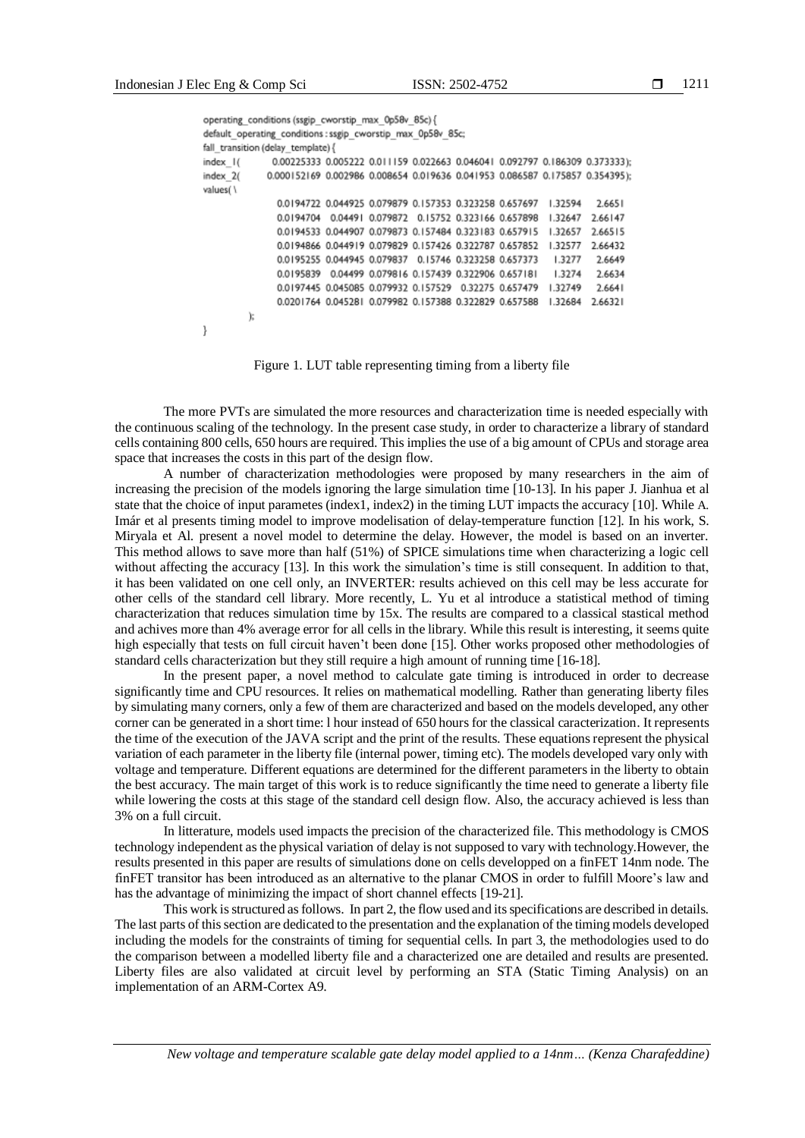```
operating_conditions (ssgip_cworstip_max_0p58v_85c) {
default operating conditions: ssgip cworstip max 0p58v 85c;
fall_transition (delay_template) {
index I(
              0.00225333 0.005222 0.011159 0.022663 0.046041 0.092797 0.186309 0.373333);
index_2(0.000152169 0.002986 0.008654 0.019636 0.041953 0.086587 0.175857 0.354395);
values(\
               0.0194722 0.044925 0.079879 0.157353 0.323258 0.657697 1.32594
                                                                                   2.6651
               0.0194704 0.04491 0.079872 0.15752 0.323166 0.657898 1.32647 2.66147
               0.0194533 0.044907 0.079873 0.157484 0.323183 0.657915 1.32657 2.66515
               0.0194866 0.044919 0.079829 0.157426 0.322787 0.657852 1.32577 2.66432
               0.0195255 0.044945 0.079837 0.15746 0.323258 0.657373 1.3277
                                                                                   2.6649
               0.0195839 0.04499 0.079816 0.157439 0.322906 0.657181
                                                                         1.3274
                                                                                   2.6634
               0.0197445 0.045085 0.079932 0.157529 0.32275 0.657479 1.32749
                                                                                   2.66410.0201764 0.045281 0.079982 0.157388 0.322829 0.657588 1.32684 2.66321
         \mathbf{r}\mathcal{E}
```
Figure 1. LUT table representing timing from a liberty file

The more PVTs are simulated the more resources and characterization time is needed especially with the continuous scaling of the technology. In the present case study, in order to characterize a library of standard cells containing 800 cells, 650 hours are required. This implies the use of a big amount of CPUs and storage area space that increases the costs in this part of the design flow.

A number of characterization methodologies were proposed by many researchers in the aim of increasing the precision of the models ignoring the large simulation time [10-13]. In his paper J. Jianhua et al state that the choice of input parametes (index1, index2) in the timing LUT impacts the accuracy [10]. While A. Imár et al presents timing model to improve modelisation of delay-temperature function [12]. In his work, S. Miryala et Al. present a novel model to determine the delay. However, the model is based on an inverter. This method allows to save more than half (51%) of SPICE simulations time when characterizing a logic cell without affecting the accuracy [13]. In this work the simulation's time is still consequent. In addition to that, it has been validated on one cell only, an INVERTER: results achieved on this cell may be less accurate for other cells of the standard cell library. More recently, L. Yu et al introduce a statistical method of timing characterization that reduces simulation time by 15x. The results are compared to a classical stastical method and achives more than 4% average error for all cells in the library. While this result is interesting, it seems quite high especially that tests on full circuit haven't been done [15]. Other works proposed other methodologies of standard cells characterization but they still require a high amount of running time [16-18].

In the present paper, a novel method to calculate gate timing is introduced in order to decrease significantly time and CPU resources. It relies on mathematical modelling. Rather than generating liberty files by simulating many corners, only a few of them are characterized and based on the models developed, any other corner can be generated in a short time: l hour instead of 650 hours for the classical caracterization. It represents the time of the execution of the JAVA script and the print of the results. These equations represent the physical variation of each parameter in the liberty file (internal power, timing etc). The models developed vary only with voltage and temperature. Different equations are determined for the different parameters in the liberty to obtain the best accuracy. The main target of this work is to reduce significantly the time need to generate a liberty file while lowering the costs at this stage of the standard cell design flow. Also, the accuracy achieved is less than 3% on a full circuit.

In litterature, models used impacts the precision of the characterized file. This methodology is CMOS technology independent as the physical variation of delay is not supposed to vary with technology.However, the results presented in this paper are results of simulations done on cells developped on a finFET 14nm node. The finFET transitor has been introduced as an alternative to the planar CMOS in order to fulfill Moore's law and has the advantage of minimizing the impact of short channel effects [19-21].

This work is structured as follows. In part 2, the flow used and its specifications are described in details. The last parts of this section are dedicated to the presentation and the explanation of the timing models developed including the models for the constraints of timing for sequential cells. In part 3, the methodologies used to do the comparison between a modelled liberty file and a characterized one are detailed and results are presented. Liberty files are also validated at circuit level by performing an STA (Static Timing Analysis) on an implementation of an ARM-Cortex A9.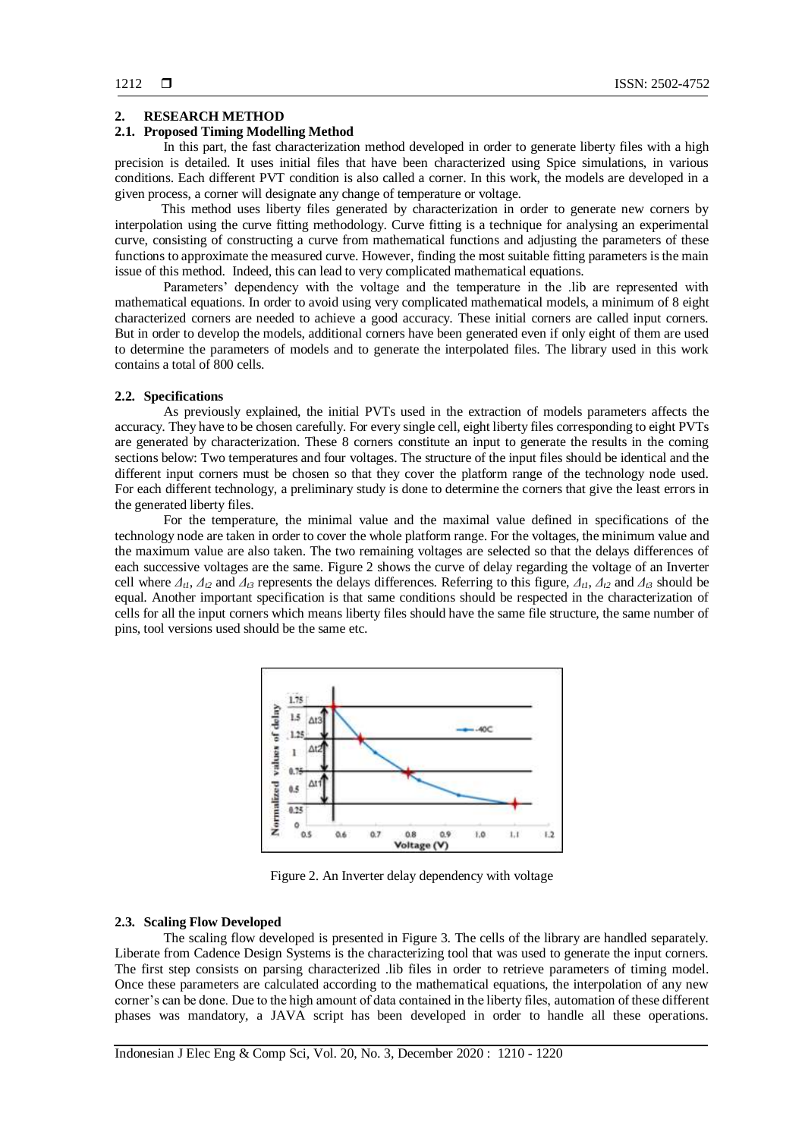## **2. RESEARCH METHOD**

# **2.1. Proposed Timing Modelling Method**

In this part, the fast characterization method developed in order to generate liberty files with a high precision is detailed. It uses initial files that have been characterized using Spice simulations, in various conditions. Each different PVT condition is also called a corner. In this work, the models are developed in a given process, a corner will designate any change of temperature or voltage.

 This method uses liberty files generated by characterization in order to generate new corners by interpolation using the curve fitting methodology. Curve fitting is a technique for analysing an experimental curve, consisting of constructing a curve from mathematical functions and adjusting the parameters of these functions to approximate the measured curve. However, finding the most suitable fitting parameters is the main issue of this method. Indeed, this can lead to very complicated mathematical equations.

Parameters' dependency with the voltage and the temperature in the .lib are represented with mathematical equations. In order to avoid using very complicated mathematical models, a minimum of 8 eight characterized corners are needed to achieve a good accuracy. These initial corners are called input corners. But in order to develop the models, additional corners have been generated even if only eight of them are used to determine the parameters of models and to generate the interpolated files. The library used in this work contains a total of 800 cells.

## **2.2. Specifications**

As previously explained, the initial PVTs used in the extraction of models parameters affects the accuracy. They have to be chosen carefully. For every single cell, eight liberty files corresponding to eight PVTs are generated by characterization. These 8 corners constitute an input to generate the results in the coming sections below: Two temperatures and four voltages. The structure of the input files should be identical and the different input corners must be chosen so that they cover the platform range of the technology node used. For each different technology, a preliminary study is done to determine the corners that give the least errors in the generated liberty files.

For the temperature, the minimal value and the maximal value defined in specifications of the technology node are taken in order to cover the whole platform range. For the voltages, the minimum value and the maximum value are also taken. The two remaining voltages are selected so that the delays differences of each successive voltages are the same. Figure 2 shows the curve of delay regarding the voltage of an Inverter cell where  $\Delta_{t1}$ ,  $\Delta_{t2}$  and  $\Delta_{t3}$  represents the delays differences. Referring to this figure,  $\Delta_{t1}$ ,  $\Delta_{t2}$  and  $\Delta_{t3}$  should be equal. Another important specification is that same conditions should be respected in the characterization of cells for all the input corners which means liberty files should have the same file structure, the same number of pins, tool versions used should be the same etc.



Figure 2. An Inverter delay dependency with voltage

## **2.3. Scaling Flow Developed**

The scaling flow developed is presented in Figure 3. The cells of the library are handled separately. Liberate from Cadence Design Systems is the characterizing tool that was used to generate the input corners. The first step consists on parsing characterized .lib files in order to retrieve parameters of timing model. Once these parameters are calculated according to the mathematical equations, the interpolation of any new corner's can be done. Due to the high amount of data contained in the liberty files, automation of these different phases was mandatory, a JAVA script has been developed in order to handle all these operations.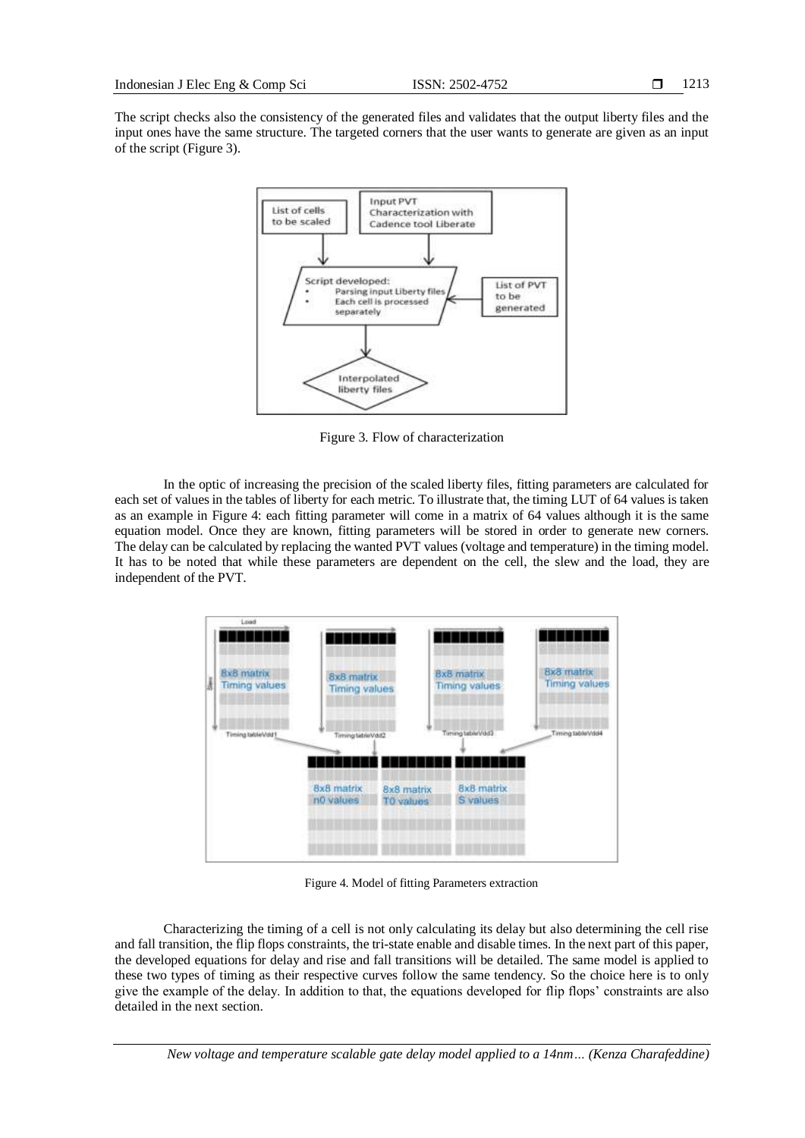The script checks also the consistency of the generated files and validates that the output liberty files and the input ones have the same structure. The targeted corners that the user wants to generate are given as an input of the script (Figure 3).



Figure 3. Flow of characterization

In the optic of increasing the precision of the scaled liberty files, fitting parameters are calculated for each set of values in the tables of liberty for each metric. To illustrate that, the timing LUT of 64 values is taken as an example in Figure 4: each fitting parameter will come in a matrix of 64 values although it is the same equation model. Once they are known, fitting parameters will be stored in order to generate new corners. The delay can be calculated by replacing the wanted PVT values (voltage and temperature) in the timing model. It has to be noted that while these parameters are dependent on the cell, the slew and the load, they are independent of the PVT.



Figure 4. Model of fitting Parameters extraction

Characterizing the timing of a cell is not only calculating its delay but also determining the cell rise and fall transition, the flip flops constraints, the tri-state enable and disable times. In the next part of this paper, the developed equations for delay and rise and fall transitions will be detailed. The same model is applied to these two types of timing as their respective curves follow the same tendency. So the choice here is to only give the example of the delay. In addition to that, the equations developed for flip flops' constraints are also detailed in the next section.

*New voltage and temperature scalable gate delay model applied to a 14nm… (Kenza Charafeddine)*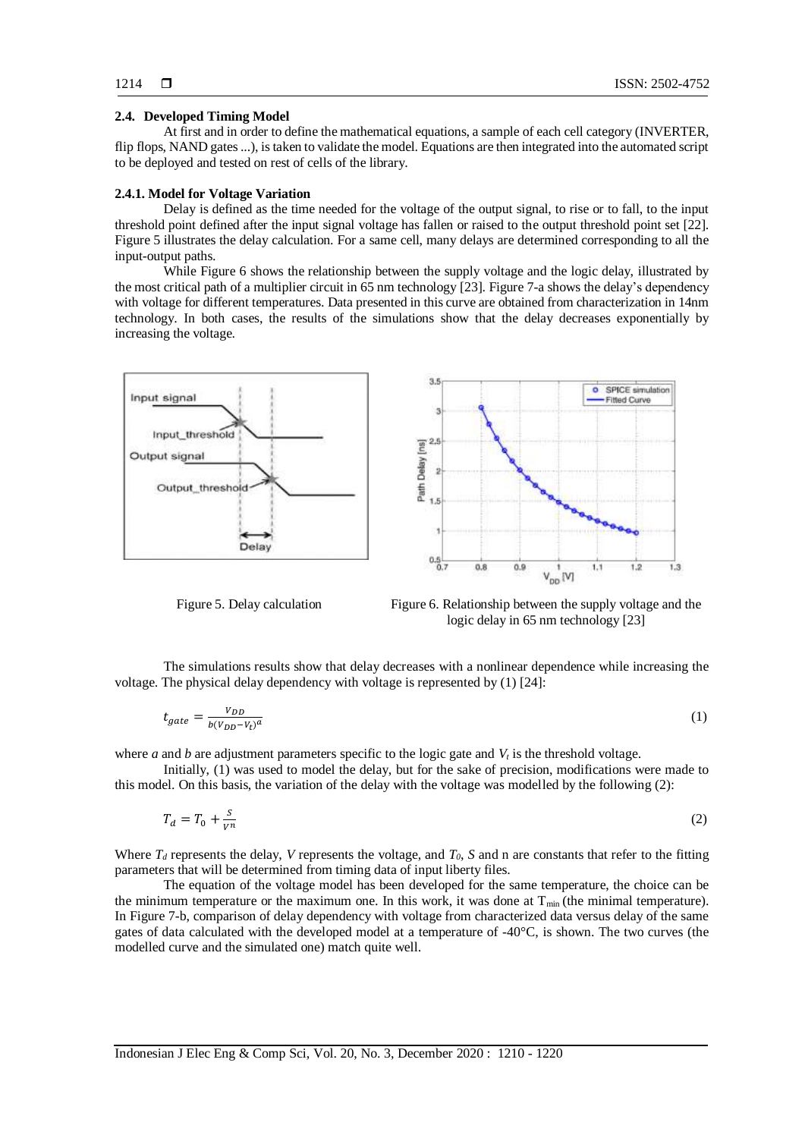#### **2.4. Developed Timing Model**

At first and in order to define the mathematical equations, a sample of each cell category (INVERTER, flip flops, NAND gates ...), is taken to validate the model. Equations are then integrated into the automated script to be deployed and tested on rest of cells of the library.

# **2.4.1. Model for Voltage Variation**

Delay is defined as the time needed for the voltage of the output signal, to rise or to fall, to the input threshold point defined after the input signal voltage has fallen or raised to the output threshold point set [22]. Figure 5 illustrates the delay calculation. For a same cell, many delays are determined corresponding to all the input-output paths.

While Figure 6 shows the relationship between the supply voltage and the logic delay, illustrated by the most critical path of a multiplier circuit in 65 nm technology [23]. Figure 7-a shows the delay's dependency with voltage for different temperatures. Data presented in this curve are obtained from characterization in 14nm technology. In both cases, the results of the simulations show that the delay decreases exponentially by increasing the voltage.



 $3.5$ SPICE simulation  $\overline{\bullet}$ **Fitted Curve** Path Delay [ns]<br>1.<br>1.<br>10<br>10  $0.5 - 7$  $\overline{1.3}$  $0.8$  $0.9$  $1.1$  $1.2$  $V_{DD}$ [V]

Figure 5. Delay calculation Figure 6. Relationship between the supply voltage and the logic delay in 65 nm technology [23]

The simulations results show that delay decreases with a nonlinear dependence while increasing the voltage. The physical delay dependency with voltage is represented by (1) [24]:

$$
t_{gate} = \frac{V_{DD}}{b(V_{DD} - V_t)^a} \tag{1}
$$

where *a* and *b* are adjustment parameters specific to the logic gate and  $V_t$  is the threshold voltage.

Initially, (1) was used to model the delay, but for the sake of precision, modifications were made to this model. On this basis, the variation of the delay with the voltage was modelled by the following (2):

$$
T_d = T_0 + \frac{s}{V^n} \tag{2}
$$

Where  $T_d$  represents the delay, V represents the voltage, and  $T_0$ , S and n are constants that refer to the fitting parameters that will be determined from timing data of input liberty files.

The equation of the voltage model has been developed for the same temperature, the choice can be the minimum temperature or the maximum one. In this work, it was done at  $T_{min}$  (the minimal temperature). In Figure 7-b, comparison of delay dependency with voltage from characterized data versus delay of the same gates of data calculated with the developed model at a temperature of -40°C, is shown. The two curves (the modelled curve and the simulated one) match quite well.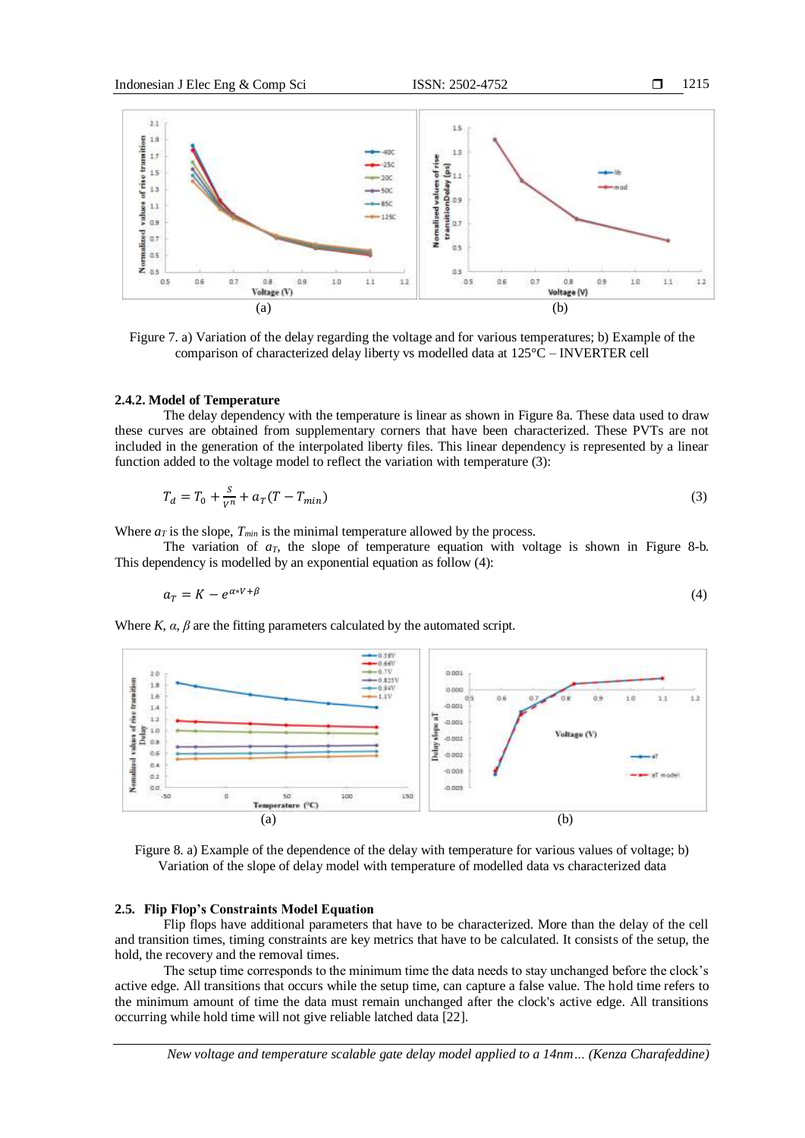

Figure 7. a) Variation of the delay regarding the voltage and for various temperatures; b) Example of the comparison of characterized delay liberty vs modelled data at 125°C – INVERTER cell

#### **2.4.2. Model of Temperature**

The delay dependency with the temperature is linear as shown in Figure 8a. These data used to draw these curves are obtained from supplementary corners that have been characterized. These PVTs are not included in the generation of the interpolated liberty files. This linear dependency is represented by a linear function added to the voltage model to reflect the variation with temperature (3):

$$
T_d = T_0 + \frac{s}{v^n} + a_T (T - T_{min})
$$
\n(3)

Where  $a_T$  is the slope,  $T_{min}$  is the minimal temperature allowed by the process.

The variation of *aT*, the slope of temperature equation with voltage is shown in Figure 8-b. This dependency is modelled by an exponential equation as follow (4):

$$
a_T = K - e^{\alpha * V + \beta} \tag{4}
$$

Where  $K$ ,  $\alpha$ ,  $\beta$  are the fitting parameters calculated by the automated script.



Figure 8. a) Example of the dependence of the delay with temperature for various values of voltage; b) Variation of the slope of delay model with temperature of modelled data vs characterized data

# **2.5. Flip Flop's Constraints Model Equation**

Flip flops have additional parameters that have to be characterized. More than the delay of the cell and transition times, timing constraints are key metrics that have to be calculated. It consists of the setup, the hold, the recovery and the removal times.

The setup time corresponds to the minimum time the data needs to stay unchanged before the clock's active edge. All transitions that occurs while the setup time, can capture a false value. The hold time refers to the minimum amount of time the data must remain unchanged after the clock's active edge. All transitions occurring while hold time will not give reliable latched data [22].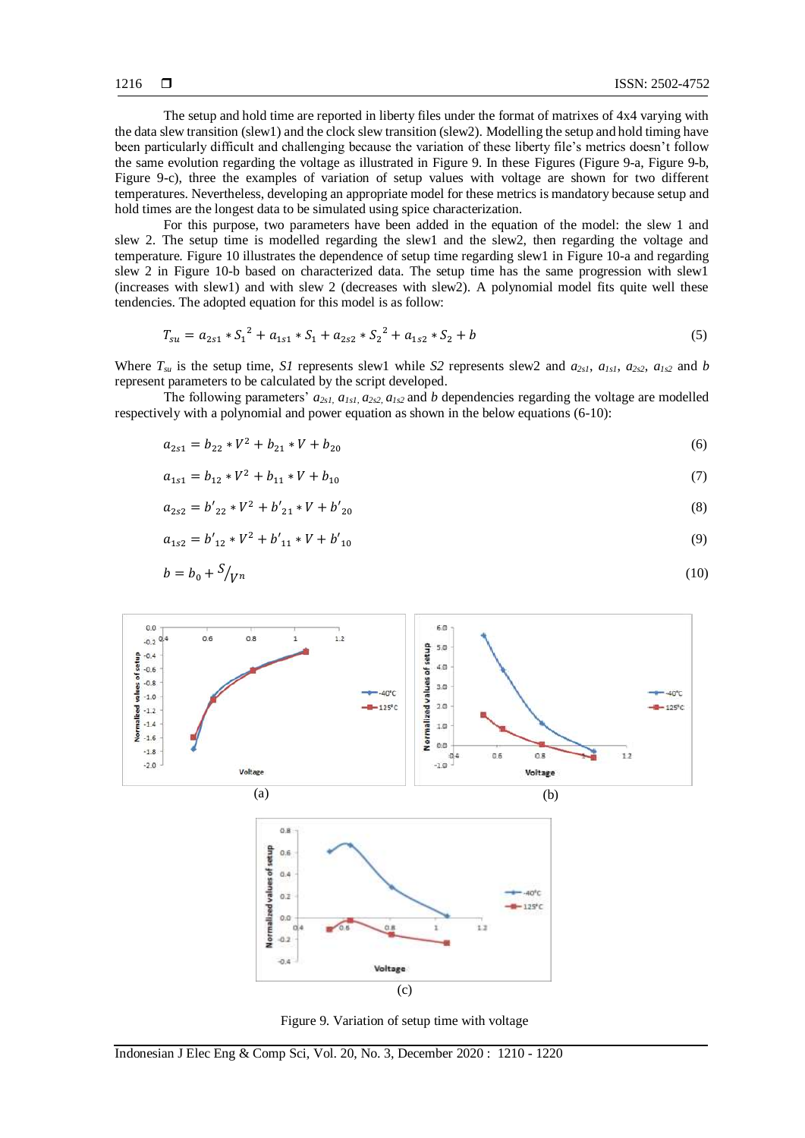The setup and hold time are reported in liberty files under the format of matrixes of 4x4 varying with the data slew transition (slew1) and the clock slew transition (slew2). Modelling the setup and hold timing have been particularly difficult and challenging because the variation of these liberty file's metrics doesn't follow the same evolution regarding the voltage as illustrated in Figure 9. In these Figures (Figure 9-a, Figure 9-b, Figure 9-c), three the examples of variation of setup values with voltage are shown for two different temperatures. Nevertheless, developing an appropriate model for these metrics is mandatory because setup and hold times are the longest data to be simulated using spice characterization.

For this purpose, two parameters have been added in the equation of the model: the slew 1 and slew 2. The setup time is modelled regarding the slew1 and the slew2, then regarding the voltage and temperature. Figure 10 illustrates the dependence of setup time regarding slew1 in Figure 10-a and regarding slew 2 in Figure 10-b based on characterized data. The setup time has the same progression with slew1 (increases with slew1) and with slew 2 (decreases with slew2). A polynomial model fits quite well these tendencies. The adopted equation for this model is as follow:

$$
T_{su} = a_{2s1} * S_1^2 + a_{1s1} * S_1 + a_{2s2} * S_2^2 + a_{1s2} * S_2 + b
$$
\n<sup>(5)</sup>

Where  $T_{su}$  is the setup time, *S1* represents slew1 while *S2* represents slew2 and  $a_{2s1}$ ,  $a_{1s1}$ ,  $a_{2s2}$ ,  $a_{1s2}$  and *b* represent parameters to be calculated by the script developed.

The following parameters' *a2s1*, *a1s1*, *a2s2*, *a1s2* and *b* dependencies regarding the voltage are modelled respectively with a polynomial and power equation as shown in the below equations (6-10):

$$
a_{2s1} = b_{22} * V^2 + b_{21} * V + b_{20}
$$
 (6)

$$
a_{1s1} = b_{12} * V^2 + b_{11} * V + b_{10}
$$
\n<sup>(7)</sup>

$$
a_{2s2} = b'_{22} * V^2 + b'_{21} * V + b'_{20}
$$
\n<sup>(8)</sup>

$$
a_{1s2} = b'_{12} * V^2 + b'_{11} * V + b'_{10}
$$
\n<sup>(9)</sup>

$$
b = b_0 + \frac{S}{V}n \tag{10}
$$



Figure 9. Variation of setup time with voltage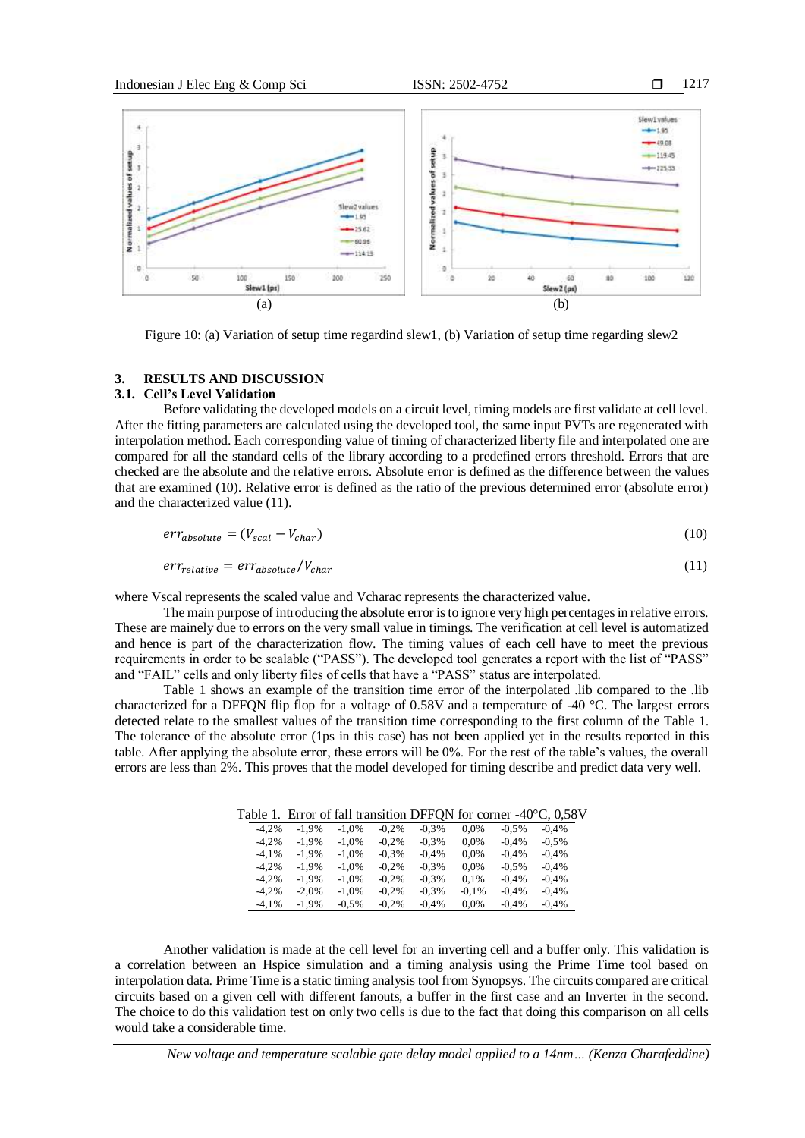

Figure 10: (a) Variation of setup time regardind slew1, (b) Variation of setup time regarding slew2

# **3. RESULTS AND DISCUSSION**

# **3.1. Cell's Level Validation**

Before validating the developed models on a circuit level, timing models are first validate at cell level. After the fitting parameters are calculated using the developed tool, the same input PVTs are regenerated with interpolation method. Each corresponding value of timing of characterized liberty file and interpolated one are compared for all the standard cells of the library according to a predefined errors threshold. Errors that are checked are the absolute and the relative errors. Absolute error is defined as the difference between the values that are examined (10). Relative error is defined as the ratio of the previous determined error (absolute error) and the characterized value (11).

$$
err_{absolute} = (V_{scal} - V_{char})
$$
\n(10)

$$
err_{relative} = err_{absolute}/V_{char} \tag{11}
$$

where Vscal represents the scaled value and Vcharac represents the characterized value.

The main purpose of introducing the absolute error is to ignore very high percentages in relative errors. These are mainely due to errors on the very small value in timings. The verification at cell level is automatized and hence is part of the characterization flow. The timing values of each cell have to meet the previous requirements in order to be scalable ("PASS"). The developed tool generates a report with the list of "PASS" and "FAIL" cells and only liberty files of cells that have a "PASS" status are interpolated.

Table 1 shows an example of the transition time error of the interpolated .lib compared to the .lib characterized for a DFFQN flip flop for a voltage of 0.58V and a temperature of -40 °C. The largest errors detected relate to the smallest values of the transition time corresponding to the first column of the Table 1. The tolerance of the absolute error (1ps in this case) has not been applied yet in the results reported in this table. After applying the absolute error, these errors will be 0%. For the rest of the table's values, the overall errors are less than 2%. This proves that the model developed for timing describe and predict data very well.

| Table 1. Error of fall transition DFFQN for corner -40 $\degree$ C, 0,58V |  |  |  |  |  |  |  |
|---------------------------------------------------------------------------|--|--|--|--|--|--|--|
|---------------------------------------------------------------------------|--|--|--|--|--|--|--|

|          |          |          |          |         |          |          | -----    |
|----------|----------|----------|----------|---------|----------|----------|----------|
| $-4.2%$  | $-1.9\%$ | $-1.0%$  | $-0.2\%$ | $-0.3%$ | $0.0\%$  | $-0.5\%$ | $-0.4%$  |
| $-4.2%$  | $-1.9\%$ | $-1.0%$  | $-0.2\%$ | $-0.3%$ | $0.0\%$  | $-0.4%$  | $-0.5%$  |
| $-4.1%$  | $-1.9\%$ | $-1.0%$  | $-0.3\%$ | $-0.4%$ | 0.0%     | $-0.4%$  | $-0.4%$  |
| $-4.2%$  | $-1.9\%$ | $-1.0%$  | $-0.2\%$ | $-0.3%$ | 0.0%     | $-0.5%$  | $-0.4%$  |
| $-4.2%$  | $-1.9\%$ | $-1.0%$  | $-0.2\%$ | $-0.3%$ | 0.1%     | $-0.4%$  | $-0.4\%$ |
| $-4.2%$  | $-2.0\%$ | $-1.0%$  | $-0.2\%$ | $-0.3%$ | $-0.1\%$ | $-0.4%$  | $-0.4%$  |
| $-4.1\%$ | $-1.9\%$ | $-0.5\%$ | $-0.2\%$ | $-0.4%$ | 0.0%     | $-0.4%$  | $-0.4%$  |

Another validation is made at the cell level for an inverting cell and a buffer only. This validation is a correlation between an Hspice simulation and a timing analysis using the Prime Time tool based on interpolation data. Prime Time is a static timing analysis tool from Synopsys. The circuits compared are critical circuits based on a given cell with different fanouts, a buffer in the first case and an Inverter in the second. The choice to do this validation test on only two cells is due to the fact that doing this comparison on all cells would take a considerable time.

*New voltage and temperature scalable gate delay model applied to a 14nm… (Kenza Charafeddine)*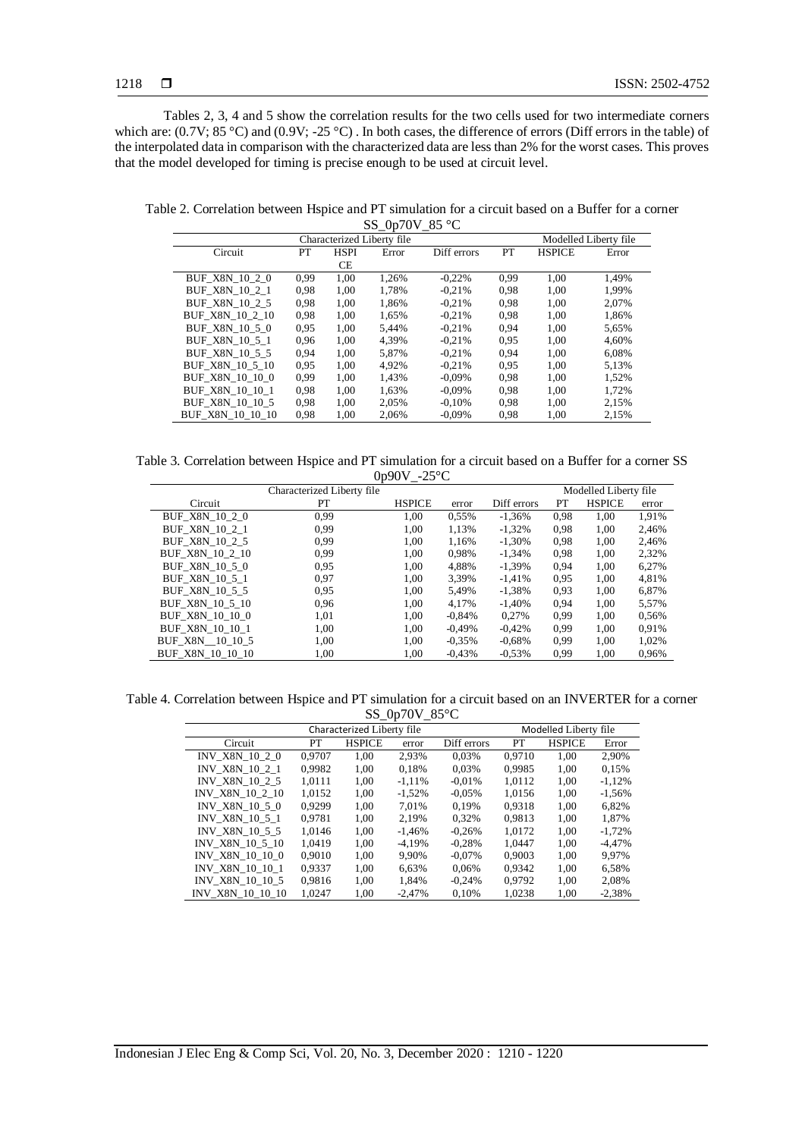Tables 2, 3, 4 and 5 show the correlation results for the two cells used for two intermediate corners which are:  $(0.7V; 85 \degree C)$  and  $(0.9V; -25 \degree C)$ . In both cases, the difference of errors (Diff errors in the table) of the interpolated data in comparison with the characterized data are less than 2% for the worst cases. This proves that the model developed for timing is precise enough to be used at circuit level.

| co vuluv cc           |      |                       |       |             |      |               |       |
|-----------------------|------|-----------------------|-------|-------------|------|---------------|-------|
|                       |      | Modelled Liberty file |       |             |      |               |       |
| Circuit               | PT   | <b>HSPI</b>           | Error | Diff errors | PТ   | <b>HSPICE</b> | Error |
|                       |      | СE                    |       |             |      |               |       |
| <b>BUF X8N 10 2 0</b> | 0.99 | 1.00                  | 1.26% | $-0.22%$    | 0.99 | 1.00          | 1,49% |
| <b>BUF X8N 10 2 1</b> | 0.98 | 1.00                  | 1.78% | $-0.21%$    | 0.98 | 1.00          | 1.99% |
| <b>BUF X8N 10 2 5</b> | 0.98 | 1,00                  | 1.86% | $-0.21%$    | 0.98 | 1,00          | 2.07% |
| BUF X8N 10 2 10       | 0.98 | 1,00                  | 1.65% | $-0.21%$    | 0.98 | 1,00          | 1,86% |
| BUF X8N 10 5 0        | 0.95 | 1.00                  | 5.44% | $-0.21%$    | 0.94 | 1.00          | 5,65% |
| BUF_X8N_10_5_1        | 0.96 | 1,00                  | 4.39% | $-0.21%$    | 0.95 | 1.00          | 4,60% |
| BUF X8N 10 5 5        | 0.94 | 1.00                  | 5.87% | $-0.21%$    | 0.94 | 1.00          | 6,08% |
| BUF X8N 10 5 10       | 0.95 | 1,00                  | 4.92% | $-0.21%$    | 0.95 | 1,00          | 5,13% |
| BUF X8N 10 10 0       | 0.99 | 1.00                  | 1.43% | $-0.09\%$   | 0.98 | 1.00          | 1,52% |
| BUF X8N 10 10 1       | 0.98 | 1,00                  | 1.63% | $-0.09\%$   | 0.98 | 1,00          | 1,72% |
| BUF X8N 10 10 5       | 0.98 | 1.00                  | 2.05% | $-0.10%$    | 0.98 | 1.00          | 2.15% |
| BUF X8N 10 10 10      | 0.98 | 1.00                  | 2.06% | $-0.09\%$   | 0.98 | 1,00          | 2,15% |

Table 2. Correlation between Hspice and PT simulation for a circuit based on a Buffer for a corner  $SCQ<sub>n</sub>70V<sub>0</sub> 8c<sub>0</sub>C$ 

Table 3. Correlation between Hspice and PT simulation for a circuit based on a Buffer for a corner SS 0p90V\_-25°C

|                       | Characterized Liberty file |               |          |             |      | Modelled Liberty file |       |
|-----------------------|----------------------------|---------------|----------|-------------|------|-----------------------|-------|
| Circuit               | PT                         | <b>HSPICE</b> | error    | Diff errors | PT   | <b>HSPICE</b>         | error |
| BUF_X8N_10_2_0        | 0.99                       | 1.00          | 0.55%    | $-1.36%$    | 0.98 | 1,00                  | 1.91% |
| <b>BUF X8N 10 2 1</b> | 0.99                       | 1,00          | 1.13%    | $-1,32%$    | 0.98 | 1,00                  | 2.46% |
| <b>BUF X8N 10 2 5</b> | 0.99                       | 1.00          | 1.16%    | $-1.30%$    | 0.98 | 1,00                  | 2,46% |
| BUF X8N 10 2 10       | 0.99                       | 1,00          | 0.98%    | $-1.34%$    | 0.98 | 1,00                  | 2,32% |
| BUF X8N 10 5 0        | 0.95                       | 1.00          | 4.88%    | $-1.39%$    | 0.94 | 1,00                  | 6.27% |
| BUF X8N 10 5 1        | 0.97                       | 1.00          | 3.39%    | $-1.41%$    | 0.95 | 1.00                  | 4.81% |
| BUF X8N 10 5 5        | 0.95                       | 1,00          | 5,49%    | $-1,38%$    | 0.93 | 1,00                  | 6,87% |
| BUF X8N 10 5 10       | 0.96                       | 1.00          | 4.17%    | $-1.40%$    | 0.94 | 1.00                  | 5,57% |
| BUF X8N 10 10 0       | 1,01                       | 1,00          | $-0.84%$ | 0.27%       | 0.99 | 1,00                  | 0,56% |
| BUF X8N 10 10 1       | 1,00                       | 1.00          | $-0.49%$ | $-0.42%$    | 0.99 | 1,00                  | 0.91% |
| BUF X8N 10 10 5       | 1,00                       | 1.00          | $-0.35%$ | $-0.68%$    | 0.99 | 1.00                  | 1,02% |
| BUF X8N 10 10 10      | 1,00                       | 1,00          | $-0.43%$ | $-0.53%$    | 0.99 | 1,00                  | 0.96% |

Table 4. Correlation between Hspice and PT simulation for a circuit based on an INVERTER for a corner

| $SS_0p70V_85°C$                                     |        |               |          |             |        |               |          |
|-----------------------------------------------------|--------|---------------|----------|-------------|--------|---------------|----------|
| Characterized Liberty file<br>Modelled Liberty file |        |               |          |             |        |               |          |
| Circuit                                             | PТ     | <b>HSPICE</b> | error    | Diff errors | PТ     | <b>HSPICE</b> | Error    |
| INV X8N 10 2 0                                      | 0.9707 | 1.00          | 2.93%    | 0.03%       | 0.9710 | 1.00          | 2.90%    |
| INV X8N 10 2 1                                      | 0.9982 | 1.00          | 0.18%    | 0.03%       | 0.9985 | 1.00          | 0.15%    |
| INV X8N 10 2 5                                      | 1,0111 | 1,00          | $-1,11%$ | $-0.01%$    | 1,0112 | 1,00          | $-1,12%$ |
| INV X8N 10 2 10                                     | 1.0152 | 1.00          | $-1.52%$ | $-0.05%$    | 1.0156 | 1.00          | $-1.56%$ |
| INV X8N 10 5 0                                      | 0.9299 | 1.00          | 7.01%    | 0.19%       | 0.9318 | 1.00          | 6.82%    |
| INV X8N 10 5 1                                      | 0.9781 | 1,00          | 2.19%    | 0.32%       | 0.9813 | 1,00          | 1,87%    |
| INV X8N 10 5 5                                      | 1,0146 | 1.00          | $-1.46%$ | $-0.26%$    | 1.0172 | 1.00          | $-1,72%$ |
| INV X8N 10 5 10                                     | 1.0419 | 1.00          | $-4.19%$ | $-0.28%$    | 1.0447 | 1.00          | $-4.47%$ |
| INV X8N 10 10 0                                     | 0,9010 | 1,00          | 9.90%    | $-0.07\%$   | 0.9003 | 1,00          | 9,97%    |
| INV X8N 10 10 1                                     | 0.9337 | 1.00          | 6.63%    | 0.06%       | 0.9342 | 1.00          | 6.58%    |
| INV X8N 10 10 5                                     | 0,9816 | 1,00          | 1,84%    | $-0,24%$    | 0,9792 | 1,00          | 2,08%    |
| INV X8N 10 10 10                                    | 1.0247 | 1.00          | $-2.47%$ | 0.10%       | 1.0238 | 1.00          | $-2.38%$ |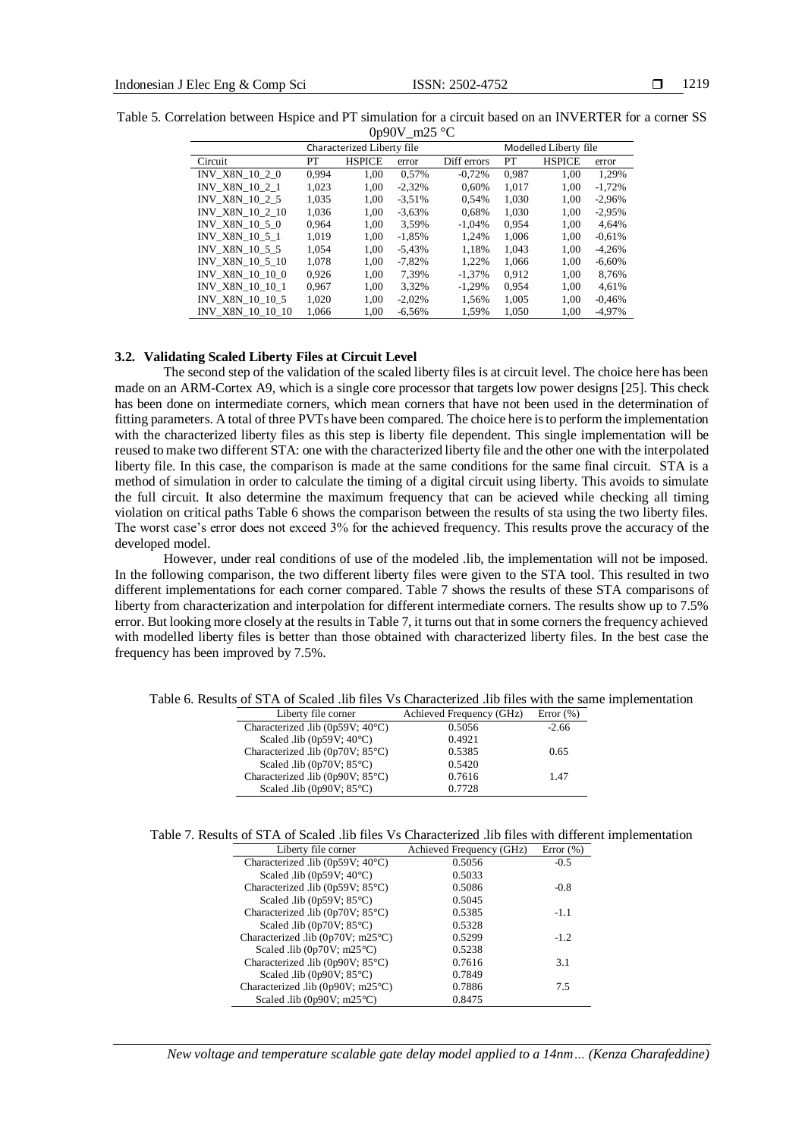|                  |       | Characterized Liberty file |          |             |       | Modelled Liberty file |           |
|------------------|-------|----------------------------|----------|-------------|-------|-----------------------|-----------|
| Circuit          | PT    | <b>HSPICE</b>              | error    | Diff errors | PT    | <b>HSPICE</b>         | error     |
| INV X8N 10 2 0   | 0.994 | 1.00                       | 0.57%    | $-0.72%$    | 0.987 | 1.00                  | 1,29%     |
| INV X8N 10 2 1   | 1.023 | 1.00                       | $-2.32%$ | 0.60%       | 1.017 | 1.00                  | $-1.72%$  |
| INV X8N 10 2 5   | 1,035 | 1,00                       | $-3,51%$ | 0.54%       | 1,030 | 1,00                  | $-2.96%$  |
| INV X8N 10 2 10  | 1,036 | 1,00                       | $-3.63%$ | 0.68%       | 1.030 | 1.00                  | $-2.95%$  |
| INV X8N 10 5 0   | 0.964 | 1,00                       | 3.59%    | $-1.04%$    | 0.954 | 1.00                  | 4,64%     |
| INV X8N 10 5 1   | 1.019 | 1.00                       | $-1.85%$ | 1.24%       | 1.006 | 1.00                  | $-0.61%$  |
| INV X8N 10 5 5   | 1.054 | 1,00                       | $-5,43%$ | 1,18%       | 1,043 | 1,00                  | $-4,26%$  |
| INV X8N 10 5 10  | 1.078 | 1.00                       | $-7.82%$ | 1.22%       | 1.066 | 1.00                  | $-6,60%$  |
| INV X8N 10 10 0  | 0,926 | 1,00                       | 7,39%    | $-1,37%$    | 0.912 | 1,00                  | 8,76%     |
| INV X8N 10 10 1  | 0.967 | 1,00                       | 3.32%    | $-1.29%$    | 0.954 | 1.00                  | 4.61%     |
| INV X8N 10 10 5  | 1.020 | 1,00                       | $-2.02%$ | 1.56%       | 1.005 | 1.00                  | $-0.46%$  |
| INV X8N 10 10 10 | 1,066 | 1.00                       | $-6,56%$ | 1.59%       | 1,050 | 1.00                  | $-4.97\%$ |

Table 5. Correlation between Hspice and PT simulation for a circuit based on an INVERTER for a corner SS 0p90V\_m25 °C

### **3.2. Validating Scaled Liberty Files at Circuit Level**

The second step of the validation of the scaled liberty files is at circuit level. The choice here has been made on an ARM-Cortex A9, which is a single core processor that targets low power designs [25]. This check has been done on intermediate corners, which mean corners that have not been used in the determination of fitting parameters. A total of three PVTs have been compared. The choice here is to perform the implementation with the characterized liberty files as this step is liberty file dependent. This single implementation will be reused to make two different STA: one with the characterized liberty file and the other one with the interpolated liberty file. In this case, the comparison is made at the same conditions for the same final circuit. STA is a method of simulation in order to calculate the timing of a digital circuit using liberty. This avoids to simulate the full circuit. It also determine the maximum frequency that can be acieved while checking all timing violation on critical paths Table 6 shows the comparison between the results of sta using the two liberty files. The worst case's error does not exceed 3% for the achieved frequency. This results prove the accuracy of the developed model.

However, under real conditions of use of the modeled .lib, the implementation will not be imposed. In the following comparison, the two different liberty files were given to the STA tool. This resulted in two different implementations for each corner compared. Table 7 shows the results of these STA comparisons of liberty from characterization and interpolation for different intermediate corners. The results show up to 7.5% error. But looking more closely at the results in Table 7, it turns out that in some corners the frequency achieved with modelled liberty files is better than those obtained with characterized liberty files. In the best case the frequency has been improved by 7.5%.

Table 6. Results of STA of Scaled .lib files Vs Characterized .lib files with the same implementation

| Liberty file corner                 | Achieved Frequency (GHz) | Error $(\%)$ |
|-------------------------------------|--------------------------|--------------|
| Characterized .lib $(0p59V; 40°C)$  | 0.5056                   | $-2.66$      |
| Scaled .lib (0p59V; $40^{\circ}$ C) | 0.4921                   |              |
| Characterized .lib (0p70V; 85°C)    | 0.5385                   | 0.65         |
| Scaled .lib (0p70V; $85^{\circ}$ C) | 0.5420                   |              |
| Characterized .lib (0p90V; 85°C)    | 0.7616                   | 1.47         |
| Scaled .lib (0p90V; $85^{\circ}$ C) | 0.7728                   |              |

| Liberty file corner                        | Achieved Frequency (GHz) | Error $(\%)$ |
|--------------------------------------------|--------------------------|--------------|
| Characterized .lib $(0p59V; 40°C)$         | 0.5056                   | $-0.5$       |
| Scaled .lib (0p59V; $40^{\circ}$ C)        | 0.5033                   |              |
| Characterized .lib (0p59V; $85^{\circ}$ C) | 0.5086                   | $-0.8$       |
| Scaled .lib (0p59V; 85°C)                  | 0.5045                   |              |
| Characterized .lib (0p70V; $85^{\circ}$ C) | 0.5385                   | $-1.1$       |
| Scaled .lib (0p70V; 85°C)                  | 0.5328                   |              |
| Characterized .lib (0p70V; m25 $°C$ )      | 0.5299                   | $-1.2$       |
| Scaled .lib ( $0p70V$ ; m25 $°C$ )         | 0.5238                   |              |
| Characterized .lib (0p90V; 85°C)           | 0.7616                   | 3.1          |
| Scaled .lib (0p90V; $85^{\circ}$ C)        | 0.7849                   |              |
| Characterized .lib (0p90V; m25 $°C$ )      | 0.7886                   | 7.5          |
| Scaled .lib (0p90V; m25 $°C$ )             | 0.8475                   |              |